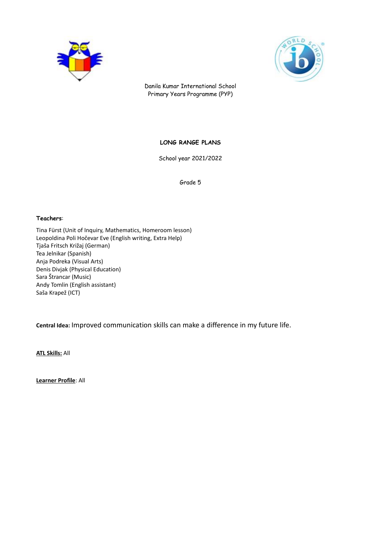



Danila Kumar International School Primary Years Programme (PYP)

# **LONG RANGE PLANS**

School year 2021/2022

Grade 5

#### **Teachers**:

Tina Fürst (Unit of Inquiry, Mathematics, Homeroom lesson) Leopoldina Poli Hočevar Eve (English writing, Extra Help) Tjaša Fritsch Križaj (German) Tea Jelnikar (Spanish) Anja Podreka (Visual Arts) Denis Divjak (Physical Education) Sara Štrancar (Music) Andy Tomlin (English assistant) Saša Krapež (ICT)

**Central Idea:** Improved communication skills can make a difference in my future life.

**ATL Skills:** All

**Learner Profile**: All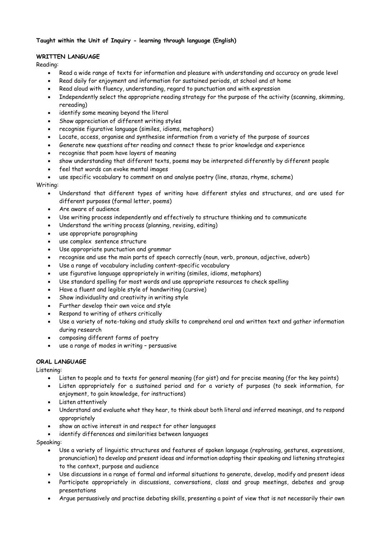# **Taught within the Unit of Inquiry - learning through language (English)**

### **WRITTEN LANGUAGE**

Reading:

- Read a wide range of texts for information and pleasure with understanding and accuracy on grade level
- Read daily for enjoyment and information for sustained periods, at school and at home
- Read aloud with fluency, understanding, regard to punctuation and with expression
- Independently select the appropriate reading strategy for the purpose of the activity (scanning, skimming, rereading)
- identify some meaning beyond the literal
- Show appreciation of different writing styles
- recognise figurative language (similes, idioms, metaphors)
- Locate, access, organise and synthesise information from a variety of the purpose of sources
- Generate new questions after reading and connect these to prior knowledge and experience
- recognise that poem have layers of meaning
- show understanding that different texts, poems may be interpreted differently by different people
- feel that words can evoke mental images
- use specific vocabulary to comment on and analyse poetry (line, stanza, rhyme, scheme)

### Writing:

- Understand that different types of writing have different styles and structures, and are used for different purposes (formal letter, poems)
- Are aware of audience
- Use writing process independently and effectively to structure thinking and to communicate
- Understand the writing process (planning, revising, editing)
- use appropriate paragraphing
- use complex sentence structure
- Use appropriate punctuation and grammar
- recognise and use the main parts of speech correctly (noun, verb, pronoun, adjective, adverb)
- Use a range of vocabulary including content-specific vocabulary
- use figurative language appropriately in writing (similes, idioms, metaphors)
- Use standard spelling for most words and use appropriate resources to check spelling
- Have a fluent and legible style of handwriting (cursive)
- Show individuality and creativity in writing style
- Further develop their own voice and style
- Respond to writing of others critically
- Use a variety of note-taking and study skills to comprehend oral and written text and gather information during research
- composing different forms of poetry
- use a range of modes in writing persuasive

### **ORAL LANGUAGE**

Listening:

- Listen to people and to texts for general meaning (for gist) and for precise meaning (for the key points)
- Listen appropriately for a sustained period and for a variety of purposes (to seek information, for enjoyment, to gain knowledge, for instructions)
- Listen attentively
- Understand and evaluate what they hear, to think about both literal and inferred meanings, and to respond appropriately
- show an active interest in and respect for other languages
- identify differences and similarities between languages

#### Speaking:

- Use a variety of linguistic structures and features of spoken language (rephrasing, gestures, expressions, pronunciation) to develop and present ideas and information adapting their speaking and listening strategies to the context, purpose and audience
- Use discussions in a range of formal and informal situations to generate, develop, modify and present ideas
- Participate appropriately in discussions, conversations, class and group meetings, debates and group presentations
- Argue persuasively and practise debating skills, presenting a point of view that is not necessarily their own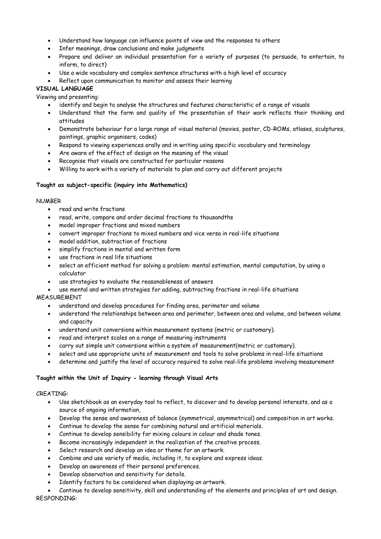- Understand how language can influence points of view and the responses to others
- Infer meanings, draw conclusions and make judgments
- Prepare and deliver an individual presentation for a variety of purposes (to persuade, to entertain, to inform, to direct)
- Use a wide vocabulary and complex sentence structures with a high level of accuracy
- Reflect upon communication to monitor and assess their learning

# **VISUAL LANGUAGE**

Viewing and presenting:

- identify and begin to analyse the structures and features characteristic of a range of visuals
- Understand that the form and quality of the presentation of their work reflects their thinking and attitudes
- Demonstrate behaviour for a large range of visual material (movies, poster, CD-ROMs, atlases, sculptures, paintings, graphic organisers, codes)
- Respond to viewing experiences orally and in writing using specific vocabulary and terminology
- Are aware of the effect of design on the meaning of the visual
- Recognise that visuals are constructed for particular reasons
- Willing to work with a variety of materials to plan and carry out different projects

# **Taught as subject-specific (inquiry into Mathematics)**

#### NUMBER

- read and write fractions
- read, write, compare and order decimal fractions to thousandths
- model improper fractions and mixed numbers
- convert improper fractions to mixed numbers and vice versa in real-life situations
- model addition, subtraction of fractions
- simplify fractions in mental and written form
- use fractions in real life situations
- select an efficient method for solving a problem: mental estimation, mental computation, by using a calculator
- use strategies to evaluate the reasonableness of answers
- use mental and written strategies for adding, subtracting fractions in real-life situations

# MEASUREMENT

- understand and develop procedures for finding area, perimeter and volume
- understand the relationships between area and perimeter, between area and volume, and between volume and capacity
- understand unit conversions within measurement systems (metric or customary).
- read and interpret scales on a range of measuring instruments
- carry out simple unit conversions within a system of measurement(metric or customary).
- select and use appropriate units of measurement and tools to solve problems in real-life situations
- determine and justify the level of accuracy required to solve real-life problems involving measurement

#### **Taught within the Unit of Inquiry - learning through Visual Arts**

#### CREATING:

- Use sketchbook as an everyday tool to reflect, to discover and to develop personal interests, and as a source of ongoing information,
- Develop the sense and awareness of balance (symmetrical, asymmetrical) and composition in art works.
- Continue to develop the sense for combining natural and artificial materials.
- Continue to develop sensibility for mixing colours in colour and shade tones.
- Become increasingly independent in the realization of the creative process.
- Select research and develop an idea or theme for an artwork.
- Combine and use variety of media, including it, to explore and express ideas.
- Develop an awareness of their personal preferences.
- Develop observation and sensitivity for details.
- Identify factors to be considered when displaying an artwork.

 Continue to develop sensitivity, skill and understanding of the elements and principles of art and design. RESPONDING: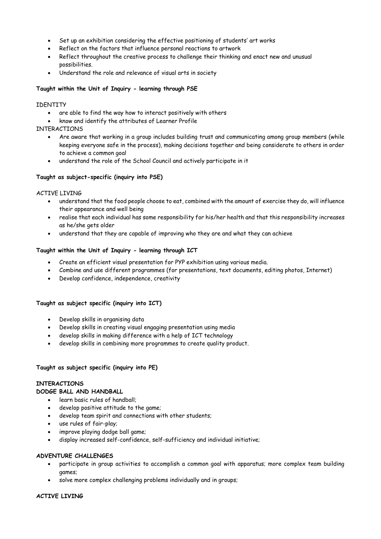- Set up an exhibition considering the effective positioning of students' art works
- Reflect on the factors that influence personal reactions to artwork
- Reflect throughout the creative process to challenge their thinking and enact new and unusual possibilities.
- Understand the role and relevance of visual arts in society

### **Taught within the Unit of Inquiry - learning through PSE**

#### IDENTITY

- are able to find the way how to interact positively with others
- know and identify the attributes of Learner Profile

### INTERACTIONS

- Are aware that working in a group includes building trust and communicating among group members (while keeping everyone safe in the process), making decisions together and being considerate to others in order to achieve a common goal
- understand the role of the School Council and actively participate in it

### **Taught as subject-specific (inquiry into PSE)**

### ACTIVE LIVING

- understand that the food people choose to eat, combined with the amount of exercise they do, will influence their appearance and well being
- realise that each individual has some responsibility for his/her health and that this responsibility increases as he/she gets older
- understand that they are capable of improving who they are and what they can achieve

### **Taught within the Unit of Inquiry - learning through ICT**

- Create an efficient visual presentation for PYP exhibition using various media.
- Combine and use different programmes (for presentations, text documents, editing photos, Internet)
- Develop confidence, independence, creativity

#### **Taught as subject specific (inquiry into ICT)**

- Develop skills in organising data
- Develop skills in creating visual engaging presentation using media
- develop skills in making difference with a help of ICT technology
- develop skills in combining more programmes to create quality product.

#### **Taught as subject specific (inquiry into PE)**

# **INTERACTIONS**

# **DODGE BALL AND HANDBALL**

- learn basic rules of handball;
- develop positive attitude to the game;
- develop team spirit and connections with other students;
- use rules of fair-play;
- improve playing dodge ball game;
- display increased self-confidence, self-sufficiency and individual initiative;

#### **ADVENTURE CHALLENGES**

- participate in group activities to accomplish a common goal with apparatus; more complex team building games;
- solve more complex challenging problems individually and in groups;

#### **ACTIVE LIVING**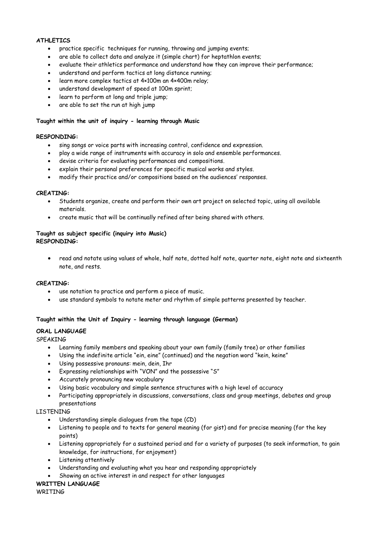### **ATHLETICS**

- practice specific techniques for running, throwing and jumping events;
- are able to collect data and analyze it (simple chart) for heptathlon events;
- evaluate their athletics performance and understand how they can improve their performance;
- understand and perform tactics at long distance running;
- learn more complex tactics at 4×100m an 4×400m relay;
- understand development of speed at 100m sprint;
- learn to perform at long and triple jump;
- are able to set the run at high jump

#### **Taught within the unit of inquiry - learning through Music**

### **RESPONDING:**

- sing songs or voice parts with increasing control, confidence and expression.
- play a wide range of instruments with accuracy in solo and ensemble performances.
- devise criteria for evaluating performances and compositions.
- explain their personal preferences for specific musical works and styles.
- modify their practice and/or compositions based on the audiences' responses.

#### **CREATING:**

- Students organize, create and perform their own art project on selected topic, using all available materials.
- create music that will be continually refined after being shared with others.

# **Taught as subject specific (inquiry into Music) RESPONDING:**

 read and notate using values of whole, half note, dotted half note, quarter note, eight note and sixteenth note, and rests.

#### **CREATING:**

- use notation to practice and perform a piece of music.
- use standard symbols to notate meter and rhythm of simple patterns presented by teacher.

# **Taught within the Unit of Inquiry - learning through language (German)**

#### **ORAL LANGUAGE**

SPEAKING

- Learning family members and speaking about your own family (family tree) or other families
- Using the indefinite article "ein, eine" (continued) and the negation word "kein, keine"
- Using possessive pronouns: mein, dein, Ihr
- Expressing relationships with "VON" and the possessive "S"
- Accurately pronouncing new vocabulary
- Using basic vocabulary and simple sentence structures with a high level of accuracy
- Participating appropriately in discussions, conversations, class and group meetings, debates and group presentations

### LISTENING

- Understanding simple dialogues from the tape (CD)
- Listening to people and to texts for general meaning (for gist) and for precise meaning (for the key points)
- Listening appropriately for a sustained period and for a variety of purposes (to seek information, to gain knowledge, for instructions, for enjoyment)
- Listening attentively
- Understanding and evaluating what you hear and responding appropriately
- Showing an active interest in and respect for other languages

# **WRITTEN LANGUAGE**

**WRITING**